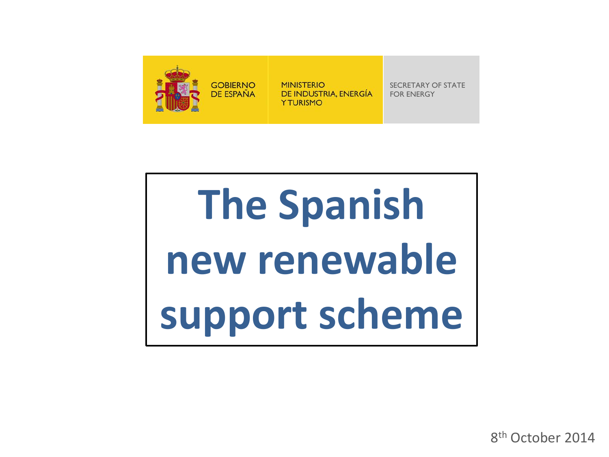

**MINISTERIO** DE INDUSTRIA, ENERGÍA **Y TURISMO** 

SECRETARY OF STATE FOR ENERGY

# **The Spanish new renewable support scheme**

8<sup>th</sup> October 2014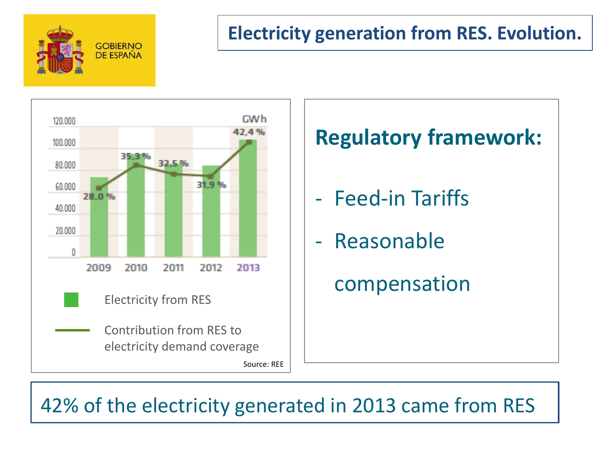

#### **Electricity generation from RES. Evolution.**



## **Regulatory framework:**

- Feed-in Tariffs
- **Reasonable**

## compensation

## 42% of the electricity generated in 2013 came from RES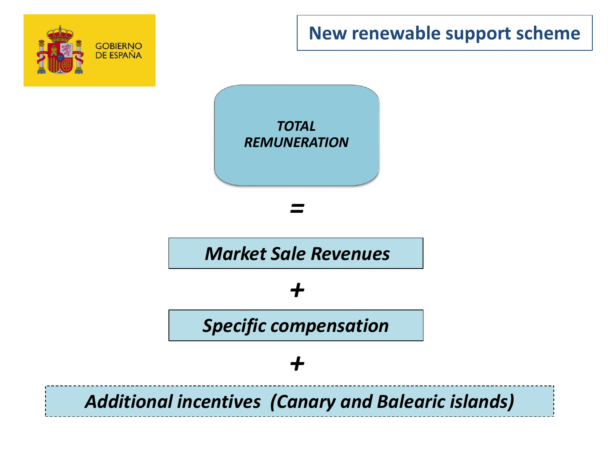

#### **New renewable support scheme**



*Additional incentives (Canary and Balearic islands)*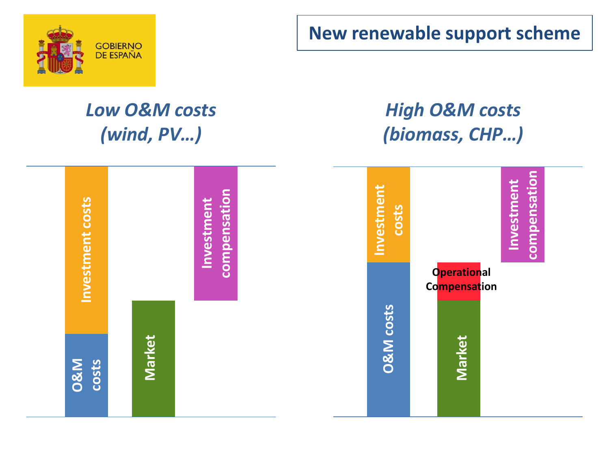

**New renewable support scheme** 

## *Low O&M costs (wind, PV…)*

## *High O&M costs (biomass, CHP…)*

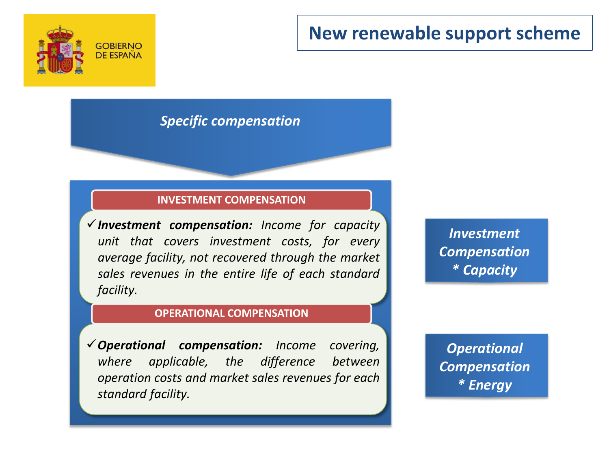#### **New renewable support scheme**



#### *Specific compensation*

#### **INVESTMENT COMPENSATION**

*Investment compensation: Income for capacity unit that covers investment costs, for every average facility, not recovered through the market sales revenues in the entire life of each standard facility.*

#### **OPERATIONAL COMPENSATION**

*Operational compensation: Income covering, where applicable, the difference between operation costs and market sales revenues for each standard facility.*

*Investment Compensation \* Capacity*

*Operational Compensation \* Energy*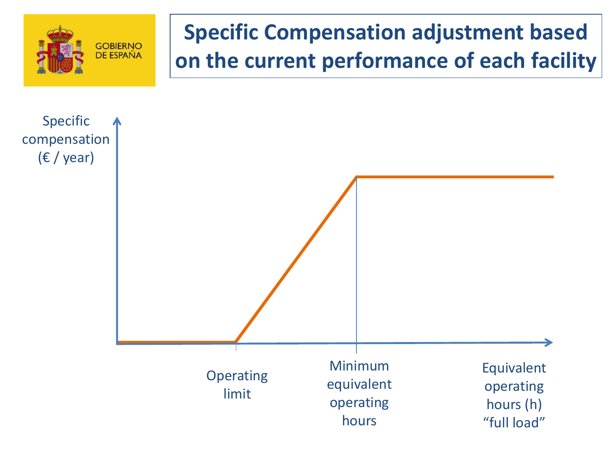

# **Specific Compensation adjustment based on the current performance of each facility**

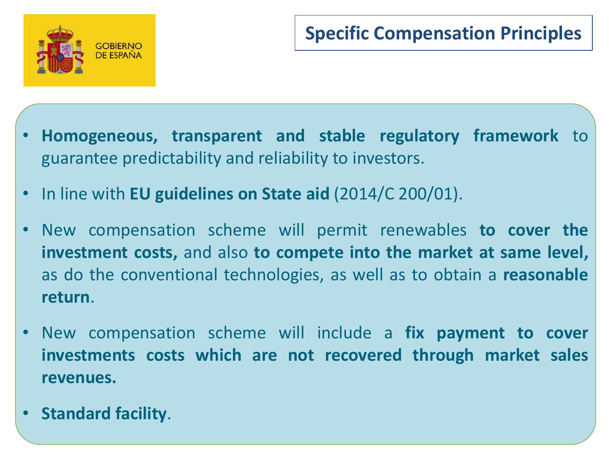

- **Homogeneous, transparent and stable regulatory framework** to guarantee predictability and reliability to investors.
- In line with **EU guidelines on State aid** (2014/C 200/01).
- New compensation scheme will permit renewables **to cover the investment costs,** and also **to compete into the market at same level,** as do the conventional technologies, as well as to obtain a **reasonable return**.
- New compensation scheme will include a **fix payment to cover investments costs which are not recovered through market sales revenues.**
- **Standard facility**.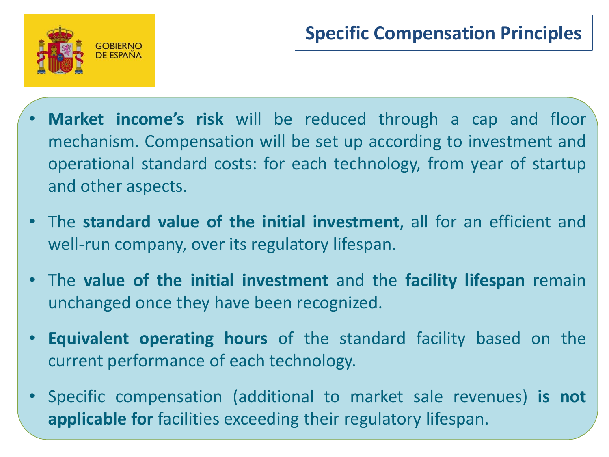

- **Market income's risk** will be reduced through a cap and floor mechanism. Compensation will be set up according to investment and operational standard costs: for each technology, from year of startup and other aspects.
- The **standard value of the initial investment**, all for an efficient and well-run company, over its regulatory lifespan.
- The **value of the initial investment** and the **facility lifespan** remain unchanged once they have been recognized.
- **Equivalent operating hours** of the standard facility based on the current performance of each technology.
- Specific compensation (additional to market sale revenues) **is not applicable for** facilities exceeding their regulatory lifespan.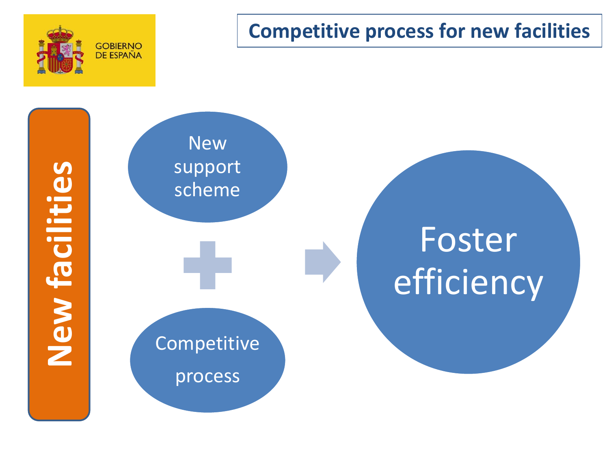